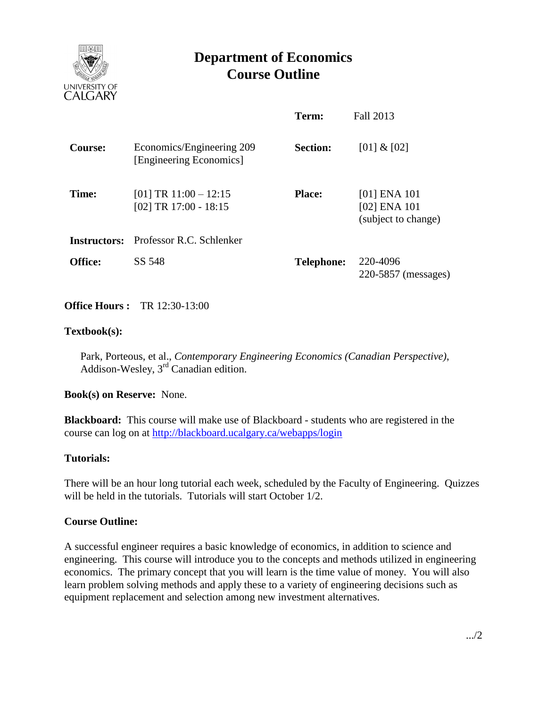

# **Department of Economics Course Outline**

|                |                                                      | Term:             | Fall 2013                                                   |
|----------------|------------------------------------------------------|-------------------|-------------------------------------------------------------|
| <b>Course:</b> | Economics/Engineering 209<br>[Engineering Economics] | <b>Section:</b>   | [01] & [02]                                                 |
| Time:          | $[01] TR 11:00 - 12:15$<br>[02] TR $17:00 - 18:15$   | <b>Place:</b>     | $[01]$ ENA $101$<br>$[02]$ ENA $101$<br>(subject to change) |
| Instructors:   | Professor R.C. Schlenker                             |                   |                                                             |
| <b>Office:</b> | SS 548                                               | <b>Telephone:</b> | 220-4096<br>220-5857 (messages)                             |

# **Office Hours :** TR 12:30-13:00

## **Textbook(s):**

Park, Porteous, et al., *Contemporary Engineering Economics (Canadian Perspective)*, Addison-Wesley, 3rd Canadian edition.

#### **Book(s) on Reserve:** None.

**Blackboard:** This course will make use of Blackboard - students who are registered in the course can log on at<http://blackboard.ucalgary.ca/webapps/login>

#### **Tutorials:**

There will be an hour long tutorial each week, scheduled by the Faculty of Engineering. Quizzes will be held in the tutorials. Tutorials will start October 1/2.

# **Course Outline:**

A successful engineer requires a basic knowledge of economics, in addition to science and engineering. This course will introduce you to the concepts and methods utilized in engineering economics. The primary concept that you will learn is the time value of money. You will also learn problem solving methods and apply these to a variety of engineering decisions such as equipment replacement and selection among new investment alternatives.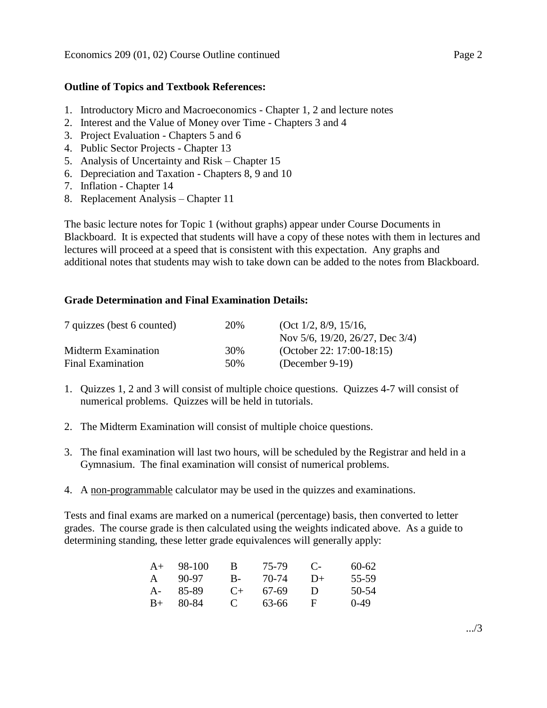### **Outline of Topics and Textbook References:**

- 1. Introductory Micro and Macroeconomics Chapter 1, 2 and lecture notes
- 2. Interest and the Value of Money over Time Chapters 3 and 4
- 3. Project Evaluation Chapters 5 and 6
- 4. Public Sector Projects Chapter 13
- 5. Analysis of Uncertainty and Risk Chapter 15
- 6. Depreciation and Taxation Chapters 8, 9 and 10
- 7. Inflation Chapter 14
- 8. Replacement Analysis Chapter 11

The basic lecture notes for Topic 1 (without graphs) appear under Course Documents in Blackboard. It is expected that students will have a copy of these notes with them in lectures and lectures will proceed at a speed that is consistent with this expectation. Any graphs and additional notes that students may wish to take down can be added to the notes from Blackboard.

## **Grade Determination and Final Examination Details:**

| 7 quizzes (best 6 counted) | 20% | (Oct 1/2, 8/9, 15/16,              |
|----------------------------|-----|------------------------------------|
|                            |     | Nov 5/6, 19/20, 26/27, Dec $3/4$ ) |
| Midterm Examination        | 30% | (October 22: 17:00-18:15)          |
| Final Examination          | 50% | (December 9-19)                    |

- 1. Quizzes 1, 2 and 3 will consist of multiple choice questions. Quizzes 4-7 will consist of numerical problems. Quizzes will be held in tutorials.
- 2. The Midterm Examination will consist of multiple choice questions.
- 3. The final examination will last two hours, will be scheduled by the Registrar and held in a Gymnasium. The final examination will consist of numerical problems.
- 4. A non-programmable calculator may be used in the quizzes and examinations.

Tests and final exams are marked on a numerical (percentage) basis, then converted to letter grades. The course grade is then calculated using the weights indicated above. As a guide to determining standing, these letter grade equivalences will generally apply:

| $A+$         | 98-100 | в           | 75-79 | $\mathbf C$    | $60-62$ |
|--------------|--------|-------------|-------|----------------|---------|
| $\mathsf{A}$ | 90-97  | $B-$        | 70-74 | $1) +$         | 55-59   |
| $A -$        | 85-89  | $($ +       | 67-69 | $\blacksquare$ | 50-54   |
| $B+$         | 80-84  | $\mathbf C$ | 63-66 | н              | $0-49$  |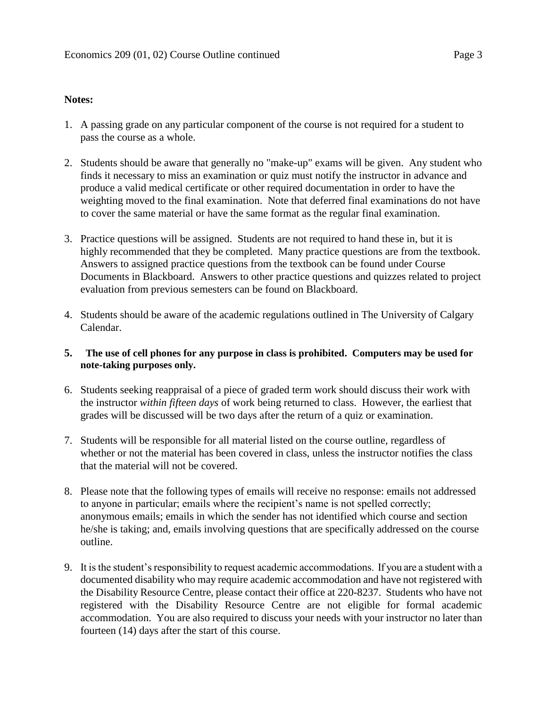### **Notes:**

- 1. A passing grade on any particular component of the course is not required for a student to pass the course as a whole.
- 2. Students should be aware that generally no "make-up" exams will be given. Any student who finds it necessary to miss an examination or quiz must notify the instructor in advance and produce a valid medical certificate or other required documentation in order to have the weighting moved to the final examination. Note that deferred final examinations do not have to cover the same material or have the same format as the regular final examination.
- 3. Practice questions will be assigned. Students are not required to hand these in, but it is highly recommended that they be completed. Many practice questions are from the textbook. Answers to assigned practice questions from the textbook can be found under Course Documents in Blackboard. Answers to other practice questions and quizzes related to project evaluation from previous semesters can be found on Blackboard.
- 4. Students should be aware of the academic regulations outlined in The University of Calgary Calendar.
- **5. The use of cell phones for any purpose in class is prohibited. Computers may be used for note-taking purposes only.**
- 6. Students seeking reappraisal of a piece of graded term work should discuss their work with the instructor *within fifteen days* of work being returned to class. However, the earliest that grades will be discussed will be two days after the return of a quiz or examination.
- 7. Students will be responsible for all material listed on the course outline, regardless of whether or not the material has been covered in class, unless the instructor notifies the class that the material will not be covered.
- 8. Please note that the following types of emails will receive no response: emails not addressed to anyone in particular; emails where the recipient's name is not spelled correctly; anonymous emails; emails in which the sender has not identified which course and section he/she is taking; and, emails involving questions that are specifically addressed on the course outline.
- 9. It is the student's responsibility to request academic accommodations. If you are a student with a documented disability who may require academic accommodation and have not registered with the Disability Resource Centre, please contact their office at 220-8237. Students who have not registered with the Disability Resource Centre are not eligible for formal academic accommodation. You are also required to discuss your needs with your instructor no later than fourteen (14) days after the start of this course.